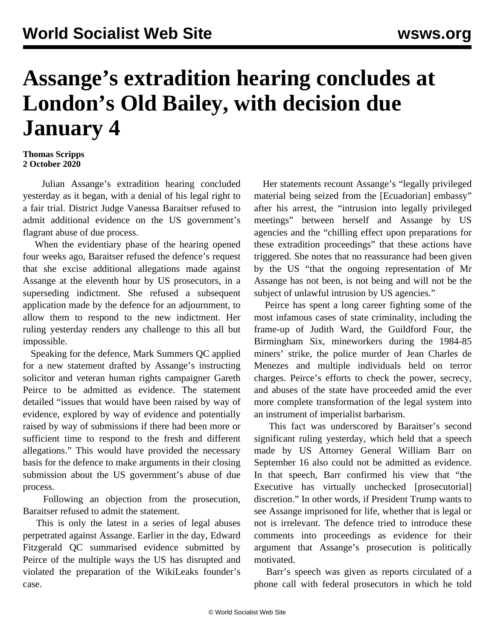## **Assange's extradition hearing concludes at London's Old Bailey, with decision due January 4**

## **Thomas Scripps 2 October 2020**

 Julian Assange's extradition hearing concluded yesterday as it began, with a denial of his legal right to a fair trial. District Judge Vanessa Baraitser refused to admit additional evidence on the US government's flagrant abuse of due process.

 When the evidentiary phase of the hearing opened four weeks ago, Baraitser refused the defence's request that she excise additional allegations made against Assange at the eleventh hour by US prosecutors, in a superseding indictment. She refused a subsequent application made by the defence for an adjournment, to allow them to respond to the new indictment. Her ruling yesterday renders any challenge to this all but impossible.

 Speaking for the defence, Mark Summers QC applied for a new statement drafted by Assange's instructing solicitor and veteran human rights campaigner Gareth Peirce to be admitted as evidence. The statement detailed "issues that would have been raised by way of evidence, explored by way of evidence and potentially raised by way of submissions if there had been more or sufficient time to respond to the fresh and different allegations." This would have provided the necessary basis for the defence to make arguments in their closing submission about the US government's abuse of due process.

 Following an objection from the prosecution, Baraitser refused to admit the statement.

 This is only the latest in a series of legal abuses perpetrated against Assange. Earlier in the day, Edward Fitzgerald QC summarised evidence submitted by Peirce of the multiple ways the US has disrupted and violated the preparation of the WikiLeaks founder's case.

 Her statements recount Assange's "legally privileged material being seized from the [Ecuadorian] embassy" after his arrest, the "intrusion into legally privileged meetings" between herself and Assange by US agencies and the "chilling effect upon preparations for these extradition proceedings" that these actions have triggered. She notes that no reassurance had been given by the US "that the ongoing representation of Mr Assange has not been, is not being and will not be the subject of unlawful intrusion by US agencies."

 Peirce has spent a long career fighting some of the most infamous cases of state criminality, including the frame-up of Judith Ward, the Guildford Four, the Birmingham Six, mineworkers during the 1984-85 miners' strike, the police murder of Jean Charles de Menezes and multiple individuals held on terror charges. Peirce's efforts to check the power, secrecy, and abuses of the state have proceeded amid the ever more complete transformation of the legal system into an instrument of imperialist barbarism.

 This fact was underscored by Baraitser's second significant ruling yesterday, which held that a speech made by US Attorney General William Barr on September 16 also could not be admitted as evidence. In that speech, Barr confirmed his view that "the Executive has virtually unchecked [prosecutorial] discretion." In other words, if President Trump wants to see Assange imprisoned for life, whether that is legal or not is irrelevant. The defence tried to introduce these comments into proceedings as evidence for their argument that Assange's prosecution is politically motivated.

 Barr's speech was given as reports circulated of a phone call with federal prosecutors in which he told